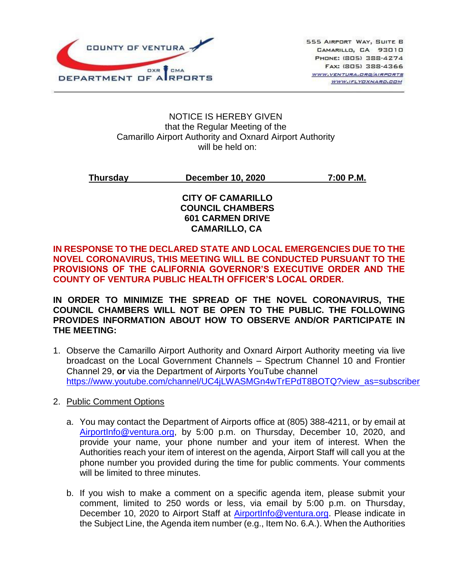

#### NOTICE IS HEREBY GIVEN that the Regular Meeting of the Camarillo Airport Authority and Oxnard Airport Authority will be held on:

# **Thursday December 10, 2020 7:00 P.M.**

### **CITY OF CAMARILLO COUNCIL CHAMBERS 601 CARMEN DRIVE CAMARILLO, CA**

## **IN RESPONSE TO THE DECLARED STATE AND LOCAL EMERGENCIES DUE TO THE NOVEL CORONAVIRUS, THIS MEETING WILL BE CONDUCTED PURSUANT TO THE PROVISIONS OF THE CALIFORNIA GOVERNOR'S EXECUTIVE ORDER AND THE COUNTY OF VENTURA PUBLIC HEALTH OFFICER'S LOCAL ORDER.**

**IN ORDER TO MINIMIZE THE SPREAD OF THE NOVEL CORONAVIRUS, THE COUNCIL CHAMBERS WILL NOT BE OPEN TO THE PUBLIC. THE FOLLOWING PROVIDES INFORMATION ABOUT HOW TO OBSERVE AND/OR PARTICIPATE IN THE MEETING:**

- 1. Observe the Camarillo Airport Authority and Oxnard Airport Authority meeting via live broadcast on the Local Government Channels – Spectrum Channel 10 and Frontier Channel 29, **or** via the Department of Airports YouTube channel [https://www.youtube.com/channel/UC4jLWASMGn4wTrEPdT8BOTQ?view\\_as=subscriber](https://www.youtube.com/channel/UC4jLWASMGn4wTrEPdT8BOTQ?view_as=subscriber)
- 2. Public Comment Options
	- a. You may contact the Department of Airports office at (805) 388-4211, or by email at [AirportInfo@ventura.org,](mailto:AirportInfo@ventura.org) by 5:00 p.m. on Thursday, December 10, 2020, and provide your name, your phone number and your item of interest. When the Authorities reach your item of interest on the agenda, Airport Staff will call you at the phone number you provided during the time for public comments. Your comments will be limited to three minutes.
	- b. If you wish to make a comment on a specific agenda item, please submit your comment, limited to 250 words or less, via email by 5:00 p.m. on Thursday, December 10, 2020 to Airport Staff at [AirportInfo@ventura.org.](mailto:AirportInfo@ventura.org) Please indicate in the Subject Line, the Agenda item number (e.g., Item No. 6.A.). When the Authorities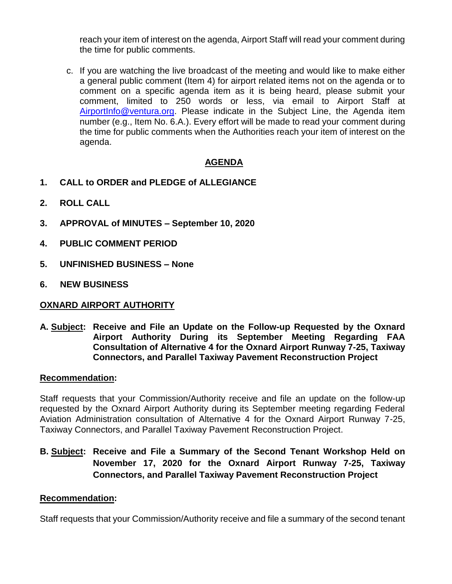reach your item of interest on the agenda, Airport Staff will read your comment during the time for public comments.

c. If you are watching the live broadcast of the meeting and would like to make either a general public comment (Item 4) for airport related items not on the agenda or to comment on a specific agenda item as it is being heard, please submit your comment, limited to 250 words or less, via email to Airport Staff at [AirportInfo@ventura.org.](mailto:AirportInfo@ventura.org) Please indicate in the Subject Line, the Agenda item number (e.g., Item No. 6.A.). Every effort will be made to read your comment during the time for public comments when the Authorities reach your item of interest on the agenda.

# **AGENDA**

- **1. CALL to ORDER and PLEDGE of ALLEGIANCE**
- **2. ROLL CALL**
- **3. APPROVAL of MINUTES – September 10, 2020**
- **4. PUBLIC COMMENT PERIOD**
- **5. UNFINISHED BUSINESS – None**
- **6. NEW BUSINESS**

### **OXNARD AIRPORT AUTHORITY**

**A. Subject: Receive and File an Update on the Follow-up Requested by the Oxnard Airport Authority During its September Meeting Regarding FAA Consultation of Alternative 4 for the Oxnard Airport Runway 7-25, Taxiway Connectors, and Parallel Taxiway Pavement Reconstruction Project**

#### **Recommendation:**

Staff requests that your Commission/Authority receive and file an update on the follow-up requested by the Oxnard Airport Authority during its September meeting regarding Federal Aviation Administration consultation of Alternative 4 for the Oxnard Airport Runway 7-25, Taxiway Connectors, and Parallel Taxiway Pavement Reconstruction Project.

**B. Subject: Receive and File a Summary of the Second Tenant Workshop Held on November 17, 2020 for the Oxnard Airport Runway 7-25, Taxiway Connectors, and Parallel Taxiway Pavement Reconstruction Project**

### **Recommendation:**

Staff requests that your Commission/Authority receive and file a summary of the second tenant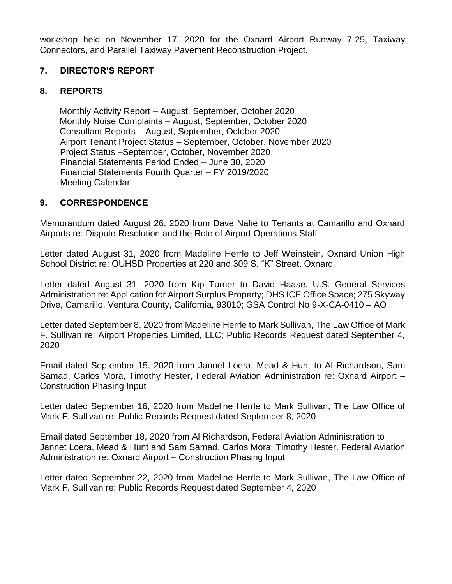workshop held on November 17, 2020 for the Oxnard Airport Runway 7-25, Taxiway Connectors, and Parallel Taxiway Pavement Reconstruction Project.

# **7. DIRECTOR'S REPORT**

# **8. REPORTS**

Monthly Activity Report – August, September, October 2020 Monthly Noise Complaints – August, September, October 2020 Consultant Reports – August, September, October 2020 Airport Tenant Project Status – September, October, November 2020 Project Status –September, October, November 2020 Financial Statements Period Ended – June 30, 2020 Financial Statements Fourth Quarter – FY 2019/2020 Meeting Calendar

## **9. CORRESPONDENCE**

Memorandum dated August 26, 2020 from Dave Nafie to Tenants at Camarillo and Oxnard Airports re: Dispute Resolution and the Role of Airport Operations Staff

Letter dated August 31, 2020 from Madeline Herrle to Jeff Weinstein, Oxnard Union High School District re: OUHSD Properties at 220 and 309 S. "K" Street, Oxnard

Letter dated August 31, 2020 from Kip Turner to David Haase, U.S. General Services Administration re: Application for Airport Surplus Property; DHS ICE Office Space; 275 Skyway Drive, Camarillo, Ventura County, California, 93010; GSA Control No 9-X-CA-0410 – AO

Letter dated September 8, 2020 from Madeline Herrle to Mark Sullivan, The Law Office of Mark F. Sullivan re: Airport Properties Limited, LLC; Public Records Request dated September 4, 2020

Email dated September 15, 2020 from Jannet Loera, Mead & Hunt to Al Richardson, Sam Samad, Carlos Mora, Timothy Hester, Federal Aviation Administration re: Oxnard Airport – Construction Phasing Input

Letter dated September 16, 2020 from Madeline Herrle to Mark Sullivan, The Law Office of Mark F. Sullivan re: Public Records Request dated September 8, 2020

Email dated September 18, 2020 from Al Richardson, Federal Aviation Administration to Jannet Loera, Mead & Hunt and Sam Samad, Carlos Mora, Timothy Hester, Federal Aviation Administration re: Oxnard Airport – Construction Phasing Input

Letter dated September 22, 2020 from Madeline Herrle to Mark Sullivan, The Law Office of Mark F. Sullivan re: Public Records Request dated September 4, 2020